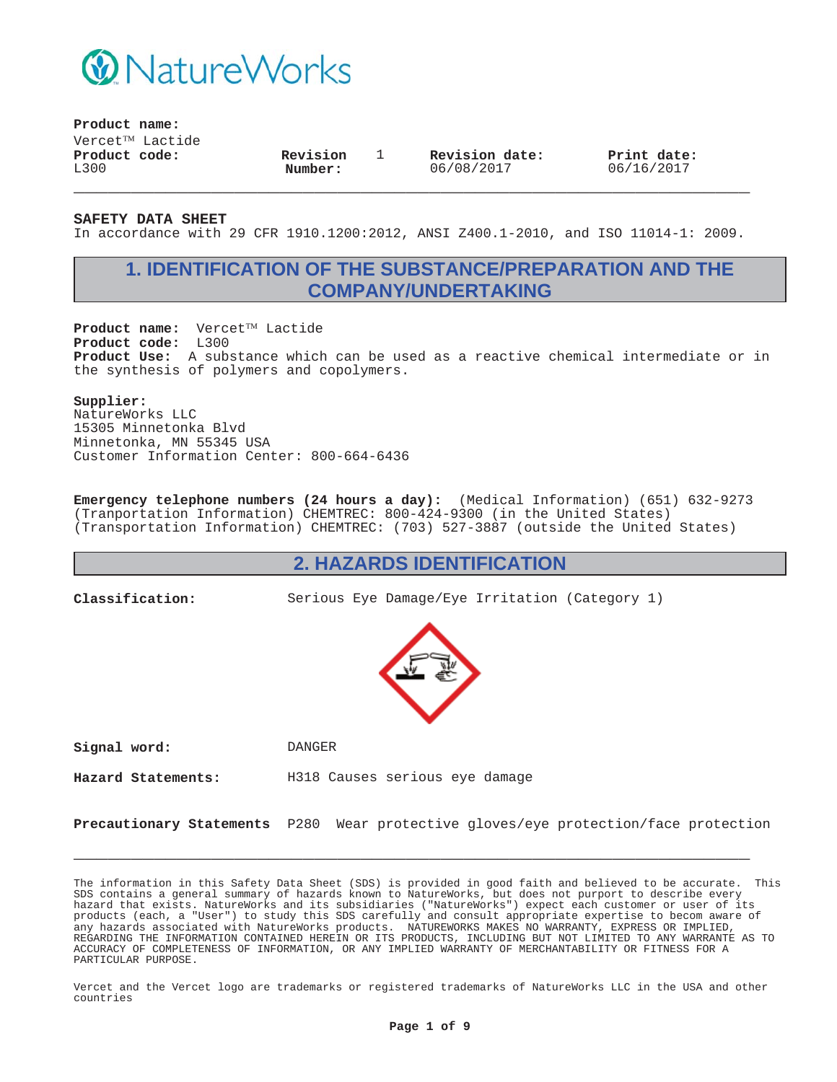

**Product name:**

 $V$ ercet $^{TM}$  Lactide **Product code:** L300

**Revision Number:**

1 **Revision date:** 06/08/2017

**Print date:** 06/16/2017

**SAFETY DATA SHEET**

In accordance with 29 CFR 1910.1200:2012, ANSI Z400.1-2010, and ISO 11014-1: 2009.

**\_\_\_\_\_\_\_\_\_\_\_\_\_\_\_\_\_\_\_\_\_\_\_\_\_\_\_\_\_\_\_\_\_\_\_\_\_\_\_\_\_\_\_\_\_\_\_\_\_\_\_\_\_\_\_\_\_\_\_**

# **1. IDENTIFICATION OF THE SUBSTANCE/PREPARATION AND THE COMPANY/UNDERTAKING**

Product name: Vercet™ Lactide **Product code:** L300 **Product Use:** A substance which can be used as a reactive chemical intermediate or in the synthesis of polymers and copolymers.

#### **Supplier:**

NatureWorks LLC 15305 Minnetonka Blvd Minnetonka, MN 55345 USA Customer Information Center: 800-664-6436

**Emergency telephone numbers (24 hours a day):** (Medical Information) (651) 632-9273 (Tranportation Information) CHEMTREC: 800-424-9300 (in the United States) (Transportation Information) CHEMTREC: (703) 527-3887 (outside the United States)

### **2. HAZARDS IDENTIFICATION**

**Classification:** Serious Eye Damage/Eye Irritation (Category 1)



**Signal word:** DANGER

**Hazard Statements:** H318 Causes serious eye damage

**Precautionary Statements** P280 Wear protective gloves/eye protection/face protection

**\_\_\_\_\_\_\_\_\_\_\_\_\_\_\_\_\_\_\_\_\_\_\_\_\_\_\_\_\_\_\_\_\_\_\_\_\_\_\_\_\_\_\_\_\_\_\_\_\_\_\_\_\_\_\_\_\_\_\_**

The information in this Safety Data Sheet (SDS) is provided in good faith and believed to be accurate. This SDS contains a general summary of hazards known to NatureWorks, but does not purport to describe every hazard that exists. NatureWorks and its subsidiaries ("NatureWorks") expect each customer or user of its products (each, a "User") to study this SDS carefully and consult appropriate expertise to becom aware of any hazards associated with NatureWorks products. NATUREWORKS MAKES NO WARRANTY, EXPRESS OR IMPLIED, REGARDING THE INFORMATION CONTAINED HEREIN OR ITS PRODUCTS, INCLUDING BUT NOT LIMITED TO ANY WARRANTE AS TO ACCURACY OF COMPLETENESS OF INFORMATION, OR ANY IMPLIED WARRANTY OF MERCHANTABILITY OR FITNESS FOR A PARTICULAR PURPOSE.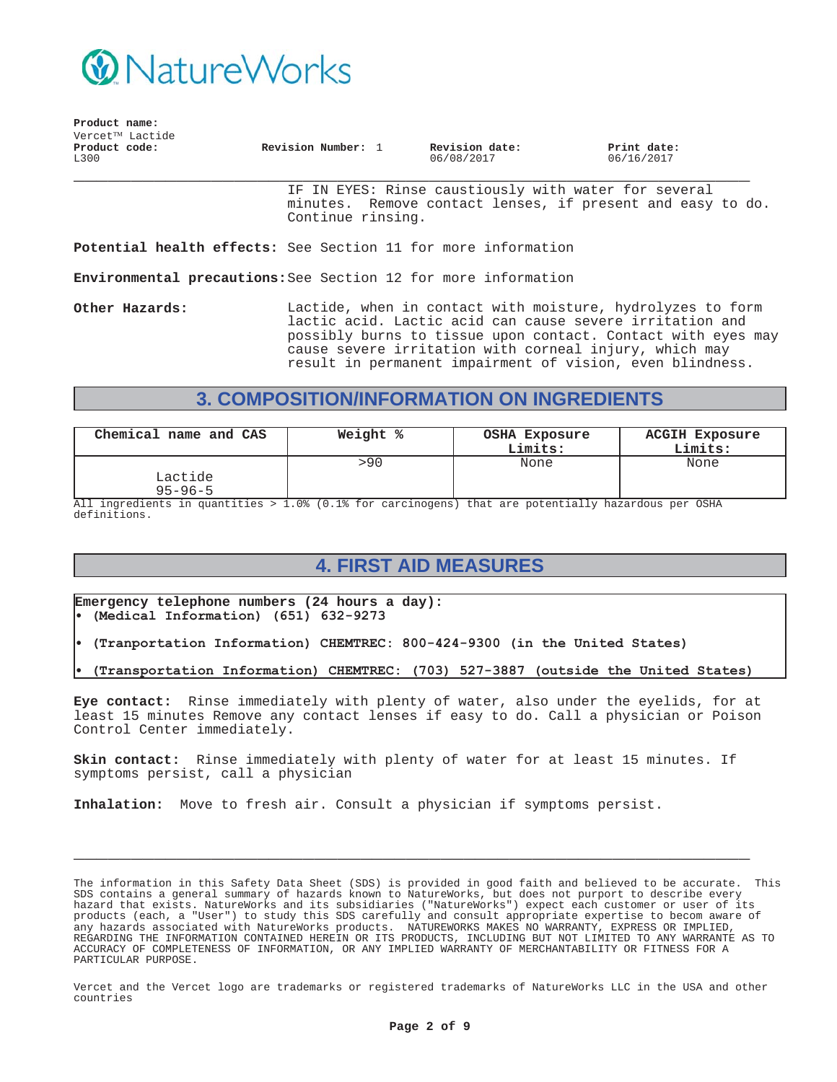

| Product name:         |                              |                    |                              |                           |
|-----------------------|------------------------------|--------------------|------------------------------|---------------------------|
|                       | Vercet <sup>TM</sup> Lactide |                    |                              |                           |
| Product code:<br>L300 |                              | Revision Number: 1 | Revision date:<br>06/08/2017 | Print date:<br>06/16/2017 |

IF IN EYES: Rinse caustiously with water for several minutes. Remove contact lenses, if present and easy to do. Continue rinsing.

**Potential health effects:** See Section 11 for more information

**Environmental precautions:**See Section 12 for more information

**Other Hazards:** Lactide, when in contact with moisture, hydrolyzes to form lactic acid. Lactic acid can cause severe irritation and possibly burns to tissue upon contact. Contact with eyes may cause severe irritation with corneal injury, which may result in permanent impairment of vision, even blindness.

# **3. COMPOSITION/INFORMATION ON INGREDIENTS**

| Chemical name and CAS    | Weight % | OSHA Exposure<br>Limits: | <b>ACGIH Exposure</b><br>Limits: |
|--------------------------|----------|--------------------------|----------------------------------|
| Lactide<br>$95 - 96 - 5$ | >90      | None                     | None                             |

All ingredients in quantities > 1.0% (0.1% for carcinogens) that are potentially hazardous per OSHA definitions.

# **4. FIRST AID MEASURES**

**Emergency telephone numbers (24 hours a day):** (Medical Information) (651) 632-9273

- (Tranportation Information) CHEMTREC: 800-424-9300 (in the United States)
- (Transportation Information) CHEMTREC: (703) 527-3887 (outside the United States)

**Eye contact:** Rinse immediately with plenty of water, also under the eyelids, for at least 15 minutes Remove any contact lenses if easy to do. Call a physician or Poison Control Center immediately.

**Skin contact:** Rinse immediately with plenty of water for at least 15 minutes. If symptoms persist, call a physician

**\_\_\_\_\_\_\_\_\_\_\_\_\_\_\_\_\_\_\_\_\_\_\_\_\_\_\_\_\_\_\_\_\_\_\_\_\_\_\_\_\_\_\_\_\_\_\_\_\_\_\_\_\_\_\_\_\_\_\_**

**Inhalation:** Move to fresh air. Consult a physician if symptoms persist.

The information in this Safety Data Sheet (SDS) is provided in good faith and believed to be accurate. This SDS contains a general summary of hazards known to NatureWorks, but does not purport to describe every hazard that exists. NatureWorks and its subsidiaries ("NatureWorks") expect each customer or user of its products (each, a "User") to study this SDS carefully and consult appropriate expertise to becom aware of any hazards associated with NatureWorks products. NATUREWORKS MAKES NO WARRANTY, EXPRESS OR IMPLIED, REGARDING THE INFORMATION CONTAINED HEREIN OR ITS PRODUCTS, INCLUDING BUT NOT LIMITED TO ANY WARRANTE AS TO ACCURACY OF COMPLETENESS OF INFORMATION, OR ANY IMPLIED WARRANTY OF MERCHANTABILITY OR FITNESS FOR A PARTICULAR PURPOSE.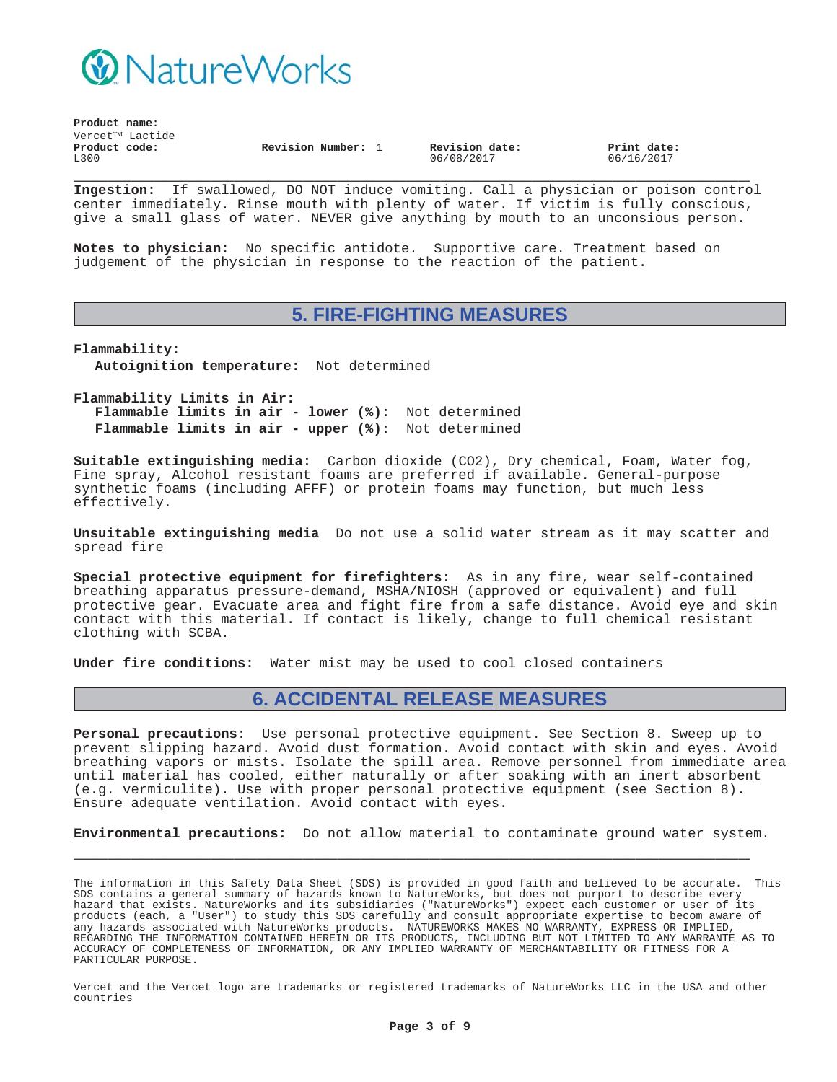

| Product name: |                 |                    |  |                |             |  |
|---------------|-----------------|--------------------|--|----------------|-------------|--|
|               | Vercet™ Lactide |                    |  |                |             |  |
| Product code: |                 | Revision Number: 1 |  | Revision date: | Print date: |  |
| L300          |                 |                    |  | 06/08/2017     | 06/16/2017  |  |

**\_\_\_\_\_\_\_\_\_\_\_\_\_\_\_\_\_\_\_\_\_\_\_\_\_\_\_\_\_\_\_\_\_\_\_\_\_\_\_\_\_\_\_\_\_\_\_\_\_\_\_\_\_\_\_\_\_\_\_ Ingestion:** If swallowed, DO NOT induce vomiting. Call a physician or poison control center immediately. Rinse mouth with plenty of water. If victim is fully conscious, give a small glass of water. NEVER give anything by mouth to an unconsious person.

**Notes to physician:** No specific antidote. Supportive care. Treatment based on judgement of the physician in response to the reaction of the patient.

### **5. FIRE-FIGHTING MEASURES**

**Flammability: Autoignition temperature:** Not determined

**Flammability Limits in Air: Flammable limits in air - lower (%):** Not determined **Flammable limits in air - upper (%):** Not determined

**Suitable extinguishing media:** Carbon dioxide (CO2), Dry chemical, Foam, Water fog, Fine spray, Alcohol resistant foams are preferred if available. General-purpose synthetic foams (including AFFF) or protein foams may function, but much less effectively.

**Unsuitable extinguishing media** Do not use a solid water stream as it may scatter and spread fire

**Special protective equipment for firefighters:** As in any fire, wear self-contained breathing apparatus pressure-demand, MSHA/NIOSH (approved or equivalent) and full protective gear. Evacuate area and fight fire from a safe distance. Avoid eye and skin contact with this material. If contact is likely, change to full chemical resistant clothing with SCBA.

**Under fire conditions:** Water mist may be used to cool closed containers

### **6. ACCIDENTAL RELEASE MEASURES**

**Personal precautions:** Use personal protective equipment. See Section 8. Sweep up to prevent slipping hazard. Avoid dust formation. Avoid contact with skin and eyes. Avoid breathing vapors or mists. Isolate the spill area. Remove personnel from immediate area until material has cooled, either naturally or after soaking with an inert absorbent (e.g. vermiculite). Use with proper personal protective equipment (see Section 8). Ensure adequate ventilation. Avoid contact with eyes.

**Environmental precautions:** Do not allow material to contaminate ground water system.

**\_\_\_\_\_\_\_\_\_\_\_\_\_\_\_\_\_\_\_\_\_\_\_\_\_\_\_\_\_\_\_\_\_\_\_\_\_\_\_\_\_\_\_\_\_\_\_\_\_\_\_\_\_\_\_\_\_\_\_**

The information in this Safety Data Sheet (SDS) is provided in good faith and believed to be accurate. This SDS contains a general summary of hazards known to NatureWorks, but does not purport to describe every hazard that exists. NatureWorks and its subsidiaries ("NatureWorks") expect each customer or user of its products (each, a "User") to study this SDS carefully and consult appropriate expertise to becom aware of any hazards associated with NatureWorks products. NATUREWORKS MAKES NO WARRANTY, EXPRESS OR IMPLIED, REGARDING THE INFORMATION CONTAINED HEREIN OR ITS PRODUCTS, INCLUDING BUT NOT LIMITED TO ANY WARRANTE AS TO ACCURACY OF COMPLETENESS OF INFORMATION, OR ANY IMPLIED WARRANTY OF MERCHANTABILITY OR FITNESS FOR A PARTICULAR PURPOSE.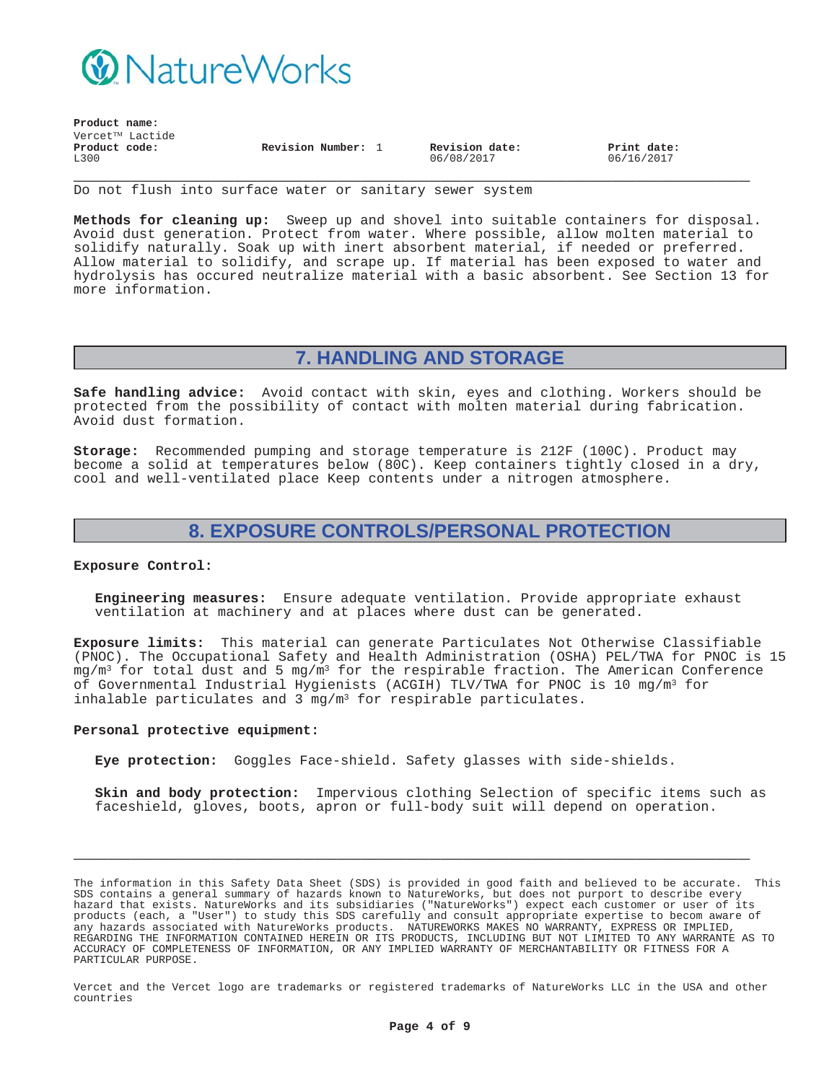

**Product name:**

| rioque name:    |                    |                |             |
|-----------------|--------------------|----------------|-------------|
| Vercet™ Lactide |                    |                |             |
| Product code:   | Revision Number: 1 | Revision date: | Print date: |
| L300            |                    | 06/08/2017     | 06/16/2017  |

**\_\_\_\_\_\_\_\_\_\_\_\_\_\_\_\_\_\_\_\_\_\_\_\_\_\_\_\_\_\_\_\_\_\_\_\_\_\_\_\_\_\_\_\_\_\_\_\_\_\_\_\_\_\_\_\_\_\_\_** Do not flush into surface water or sanitary sewer system

**Methods for cleaning up:** Sweep up and shovel into suitable containers for disposal. Avoid dust generation. Protect from water. Where possible, allow molten material to solidify naturally. Soak up with inert absorbent material, if needed or preferred. Allow material to solidify, and scrape up. If material has been exposed to water and hydrolysis has occured neutralize material with a basic absorbent. See Section 13 for more information.

### **7. HANDLING AND STORAGE**

**Safe handling advice:** Avoid contact with skin, eyes and clothing. Workers should be protected from the possibility of contact with molten material during fabrication. Avoid dust formation.

**Storage:** Recommended pumping and storage temperature is 212F (100C). Product may become a solid at temperatures below (80C). Keep containers tightly closed in a dry, cool and well-ventilated place Keep contents under a nitrogen atmosphere.

## **8. EXPOSURE CONTROLS/PERSONAL PROTECTION**

#### **Exposure Control:**

**Engineering measures:** Ensure adequate ventilation. Provide appropriate exhaust ventilation at machinery and at places where dust can be generated.

**Exposure limits:** This material can generate Particulates Not Otherwise Classifiable (PNOC). The Occupational Safety and Health Administration (OSHA) PEL/TWA for PNOC is 15  $mg/m<sup>3</sup>$  for total dust and 5 mg/m<sup>3</sup> for the respirable fraction. The American Conference of Governmental Industrial Hygienists (ACGIH) TLV/TWA for PNOC is 10 mg/m3 for inhalable particulates and  $3 \text{ mg/m}^3$  for respirable particulates.

#### **Personal protective equipment:**

**Eye protection:** Goggles Face-shield. Safety glasses with side-shields.

**Skin and body protection:** Impervious clothing Selection of specific items such as faceshield, gloves, boots, apron or full-body suit will depend on operation.

The information in this Safety Data Sheet (SDS) is provided in good faith and believed to be accurate. This SDS contains a general summary of hazards known to NatureWorks, but does not purport to describe every hazard that exists. NatureWorks and its subsidiaries ("NatureWorks") expect each customer or user of its products (each, a "User") to study this SDS carefully and consult appropriate expertise to becom aware of any hazards associated with NatureWorks products. NATUREWORKS MAKES NO WARRANTY, EXPRESS OR IMPLIED, REGARDING THE INFORMATION CONTAINED HEREIN OR ITS PRODUCTS, INCLUDING BUT NOT LIMITED TO ANY WARRANTE AS TO ACCURACY OF COMPLETENESS OF INFORMATION, OR ANY IMPLIED WARRANTY OF MERCHANTABILITY OR FITNESS FOR A PARTICULAR PURPOSE.

**\_\_\_\_\_\_\_\_\_\_\_\_\_\_\_\_\_\_\_\_\_\_\_\_\_\_\_\_\_\_\_\_\_\_\_\_\_\_\_\_\_\_\_\_\_\_\_\_\_\_\_\_\_\_\_\_\_\_\_**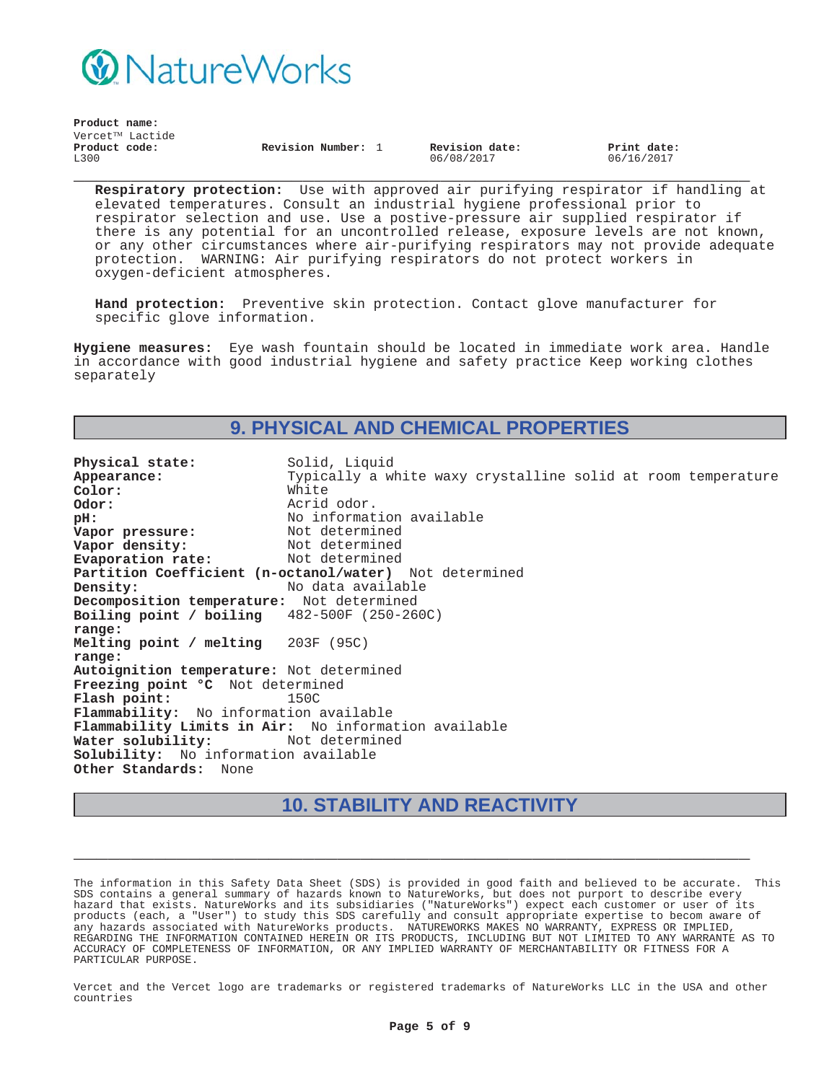

|               | Product name:                |                    |                |             |
|---------------|------------------------------|--------------------|----------------|-------------|
| Product code: | Vercet <sup>TM</sup> Lactide | Revision Number: 1 | Revision date: | Print date: |
| L300          |                              |                    | 06/08/2017     | 06/16/2017  |

**Respiratory protection:** Use with approved air purifying respirator if handling at elevated temperatures. Consult an industrial hygiene professional prior to respirator selection and use. Use a postive-pressure air supplied respirator if there is any potential for an uncontrolled release, exposure levels are not known, or any other circumstances where air-purifying respirators may not provide adequate protection. WARNING: Air purifying respirators do not protect workers in oxygen-deficient atmospheres.

**Hand protection:** Preventive skin protection. Contact glove manufacturer for specific glove information.

**Hygiene measures:** Eye wash fountain should be located in immediate work area. Handle in accordance with good industrial hygiene and safety practice Keep working clothes separately

### **9. PHYSICAL AND CHEMICAL PROPERTIES**

**Physical state:** Solid, Liquid<br> **Appearance:** Typically a w Typically a white waxy crystalline solid at room temperature<br>White Color:<br>Odor: **Odor:** Acrid odor. **pH:**<br> **Vapor pressure:** Not determined<br>
Not determined **Vapor pressure:** Not determined<br> **Vapor density:** Not determined **Vapor density:** Not determined<br> **Evaporation rate:** Not determined **Evaporation rate: Partition Coefficient (n-octanol/water)** Not determined **Density:** No data available **Decomposition temperature:** Not determined **Boiling point / boiling range:** 482-500F (250-260C) **Melting point / melting range:** 203F (95C) **Autoignition temperature:** Not determined **Freezing point °C** Not determined **Flash point:** 150C **Flammability:** No information available **Flammability Limits in Air:** No information available Water solubility: **Solubility:** No information available **Other Standards:** None

# **10. STABILITY AND REACTIVITY**

**\_\_\_\_\_\_\_\_\_\_\_\_\_\_\_\_\_\_\_\_\_\_\_\_\_\_\_\_\_\_\_\_\_\_\_\_\_\_\_\_\_\_\_\_\_\_\_\_\_\_\_\_\_\_\_\_\_\_\_**

The information in this Safety Data Sheet (SDS) is provided in good faith and believed to be accurate. This SDS contains a general summary of hazards known to NatureWorks, but does not purport to describe every hazard that exists. NatureWorks and its subsidiaries ("NatureWorks") expect each customer or user of its products (each, a "User") to study this SDS carefully and consult appropriate expertise to becom aware of any hazards associated with NatureWorks products. NATUREWORKS MAKES NO WARRANTY, EXPRESS OR IMPLIED, REGARDING THE INFORMATION CONTAINED HEREIN OR ITS PRODUCTS, INCLUDING BUT NOT LIMITED TO ANY WARRANTE AS TO ACCURACY OF COMPLETENESS OF INFORMATION, OR ANY IMPLIED WARRANTY OF MERCHANTABILITY OR FITNESS FOR A PARTICULAR PURPOSE.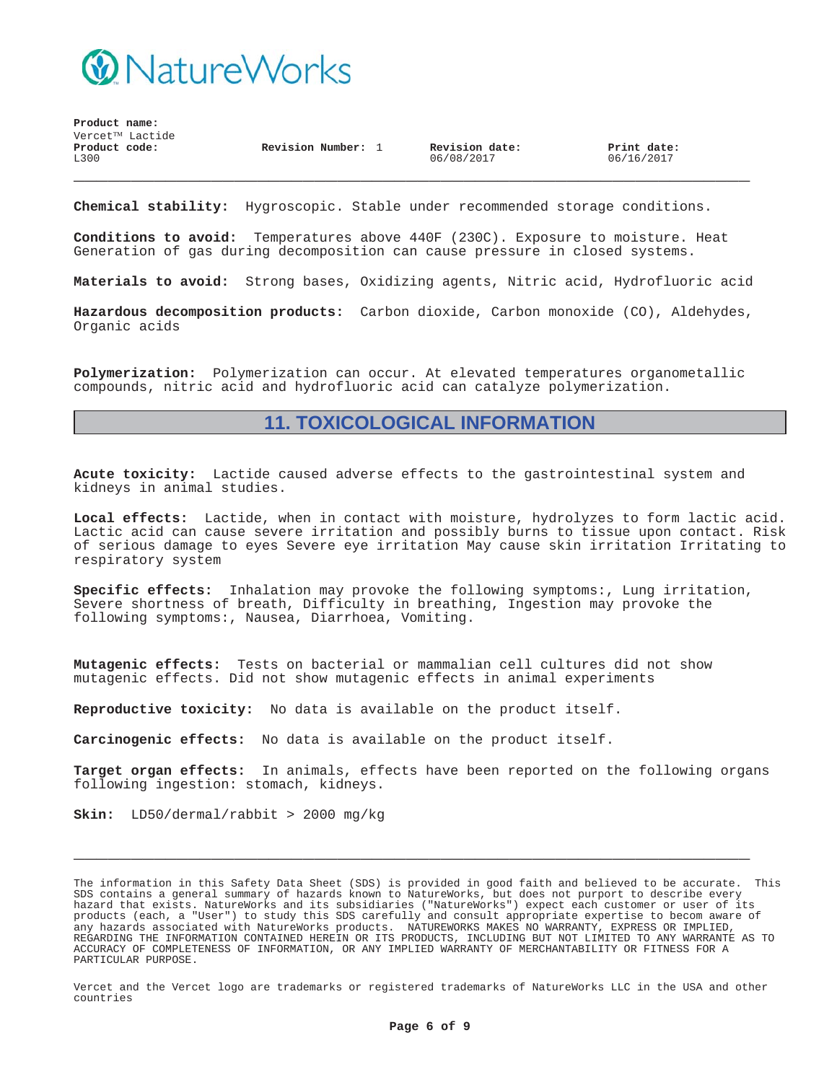

**Product name:**  $\texttt{Vercet}^{\texttt{TM}}$  Lactide **\_\_\_\_\_\_\_\_\_\_\_\_\_\_\_\_\_\_\_\_\_\_\_\_\_\_\_\_\_\_\_\_\_\_\_\_\_\_\_\_\_\_\_\_\_\_\_\_\_\_\_\_\_\_\_\_\_\_\_ Product code:** L300 **Revision Number:** 1 **Revision date:** 06/08/2017 **Print date:** 06/16/2017

**Chemical stability:** Hygroscopic. Stable under recommended storage conditions.

**Conditions to avoid:** Temperatures above 440F (230C). Exposure to moisture. Heat Generation of gas during decomposition can cause pressure in closed systems.

**Materials to avoid:** Strong bases, Oxidizing agents, Nitric acid, Hydrofluoric acid

**Hazardous decomposition products:** Carbon dioxide, Carbon monoxide (CO), Aldehydes, Organic acids

**Polymerization:** Polymerization can occur. At elevated temperatures organometallic compounds, nitric acid and hydrofluoric acid can catalyze polymerization.

### **11. TOXICOLOGICAL INFORMATION**

**Acute toxicity:** Lactide caused adverse effects to the gastrointestinal system and kidneys in animal studies.

**Local effects:** Lactide, when in contact with moisture, hydrolyzes to form lactic acid. Lactic acid can cause severe irritation and possibly burns to tissue upon contact. Risk of serious damage to eyes Severe eye irritation May cause skin irritation Irritating to respiratory system

**Specific effects:** Inhalation may provoke the following symptoms:, Lung irritation, Severe shortness of breath, Difficulty in breathing, Ingestion may provoke the following symptoms:, Nausea, Diarrhoea, Vomiting.

**Mutagenic effects:** Tests on bacterial or mammalian cell cultures did not show mutagenic effects. Did not show mutagenic effects in animal experiments

**Reproductive toxicity:** No data is available on the product itself.

**Carcinogenic effects:** No data is available on the product itself.

**Target organ effects:** In animals, effects have been reported on the following organs following ingestion: stomach, kidneys.

**\_\_\_\_\_\_\_\_\_\_\_\_\_\_\_\_\_\_\_\_\_\_\_\_\_\_\_\_\_\_\_\_\_\_\_\_\_\_\_\_\_\_\_\_\_\_\_\_\_\_\_\_\_\_\_\_\_\_\_**

**Skin:** LD50/dermal/rabbit > 2000 mg/kg

The information in this Safety Data Sheet (SDS) is provided in good faith and believed to be accurate. This SDS contains a general summary of hazards known to NatureWorks, but does not purport to describe every hazard that exists. NatureWorks and its subsidiaries ("NatureWorks") expect each customer or user of its products (each, a "User") to study this SDS carefully and consult appropriate expertise to becom aware of any hazards associated with NatureWorks products. NATUREWORKS MAKES NO WARRANTY, EXPRESS OR IMPLIED, REGARDING THE INFORMATION CONTAINED HEREIN OR ITS PRODUCTS, INCLUDING BUT NOT LIMITED TO ANY WARRANTE AS TO ACCURACY OF COMPLETENESS OF INFORMATION, OR ANY IMPLIED WARRANTY OF MERCHANTABILITY OR FITNESS FOR A PARTICULAR PURPOSE.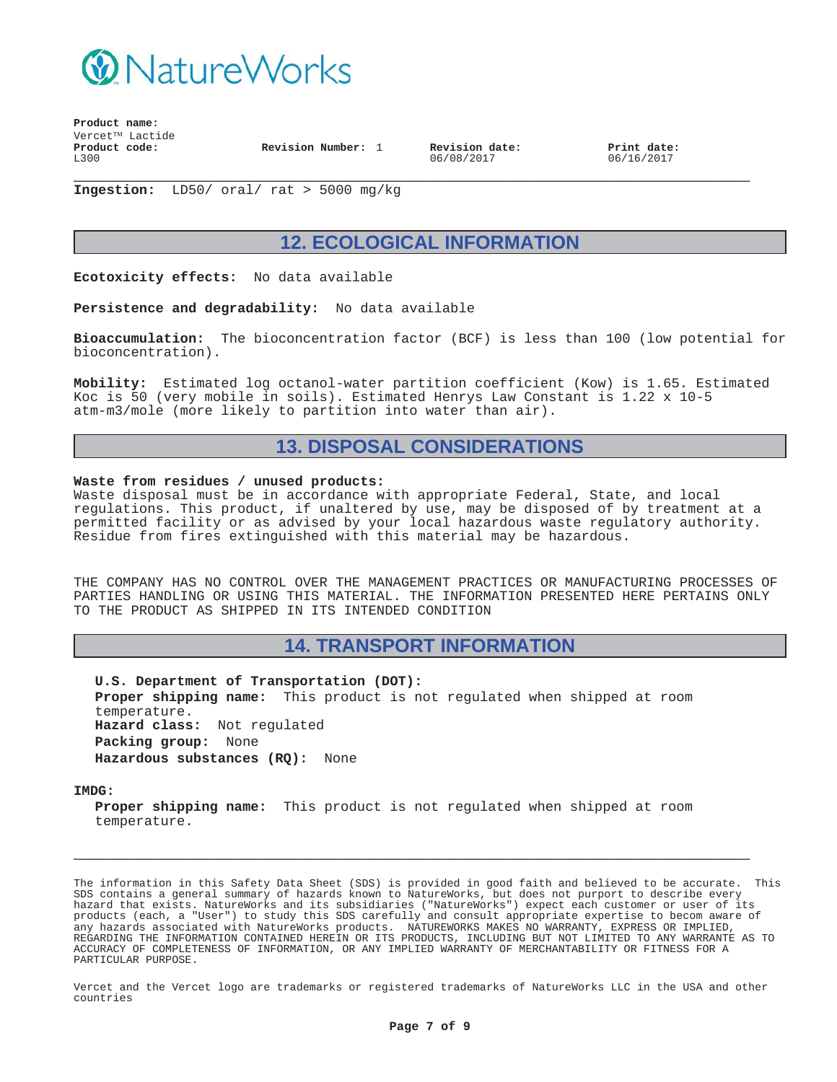

**Product name:**  $Vercet^{TM}$  Lactide **Product code:** L300 **Revision Number:** 1 **Revision date:**

06/08/2017

**Print date:** 06/16/2017

**\_\_\_\_\_\_\_\_\_\_\_\_\_\_\_\_\_\_\_\_\_\_\_\_\_\_\_\_\_\_\_\_\_\_\_\_\_\_\_\_\_\_\_\_\_\_\_\_\_\_\_\_\_\_\_\_\_\_\_ Ingestion:** LD50/ oral/ rat > 5000 mg/kg

# **12. ECOLOGICAL INFORMATION**

**Ecotoxicity effects:** No data available

**Persistence and degradability:** No data available

**Bioaccumulation:** The bioconcentration factor (BCF) is less than 100 (low potential for bioconcentration).

**Mobility:** Estimated log octanol-water partition coefficient (Kow) is 1.65. Estimated Koc is 50 (very mobile in soils). Estimated Henrys Law Constant is 1.22 x 10-5 atm-m3/mole (more likely to partition into water than air).

# **13. DISPOSAL CONSIDERATIONS**

#### **Waste from residues / unused products:**

Waste disposal must be in accordance with appropriate Federal, State, and local regulations. This product, if unaltered by use, may be disposed of by treatment at a permitted facility or as advised by your local hazardous waste regulatory authority. Residue from fires extinguished with this material may be hazardous.

THE COMPANY HAS NO CONTROL OVER THE MANAGEMENT PRACTICES OR MANUFACTURING PROCESSES OF PARTIES HANDLING OR USING THIS MATERIAL. THE INFORMATION PRESENTED HERE PERTAINS ONLY TO THE PRODUCT AS SHIPPED IN ITS INTENDED CONDITION

### **14. TRANSPORT INFORMATION**

**U.S. Department of Transportation (DOT): Proper shipping name:** This product is not regulated when shipped at room temperature. **Hazard class:** Not regulated **Packing group:** None **Hazardous substances (RQ):** None

**IMDG:**

**Proper shipping name:** This product is not regulated when shipped at room temperature.

**\_\_\_\_\_\_\_\_\_\_\_\_\_\_\_\_\_\_\_\_\_\_\_\_\_\_\_\_\_\_\_\_\_\_\_\_\_\_\_\_\_\_\_\_\_\_\_\_\_\_\_\_\_\_\_\_\_\_\_**

The information in this Safety Data Sheet (SDS) is provided in good faith and believed to be accurate. This SDS contains a general summary of hazards known to NatureWorks, but does not purport to describe every hazard that exists. NatureWorks and its subsidiaries ("NatureWorks") expect each customer or user of its products (each, a "User") to study this SDS carefully and consult appropriate expertise to becom aware of any hazards associated with NatureWorks products. NATUREWORKS MAKES NO WARRANTY, EXPRESS OR IMPLIED, REGARDING THE INFORMATION CONTAINED HEREIN OR ITS PRODUCTS, INCLUDING BUT NOT LIMITED TO ANY WARRANTE AS TO ACCURACY OF COMPLETENESS OF INFORMATION, OR ANY IMPLIED WARRANTY OF MERCHANTABILITY OR FITNESS FOR A PARTICULAR PURPOSE.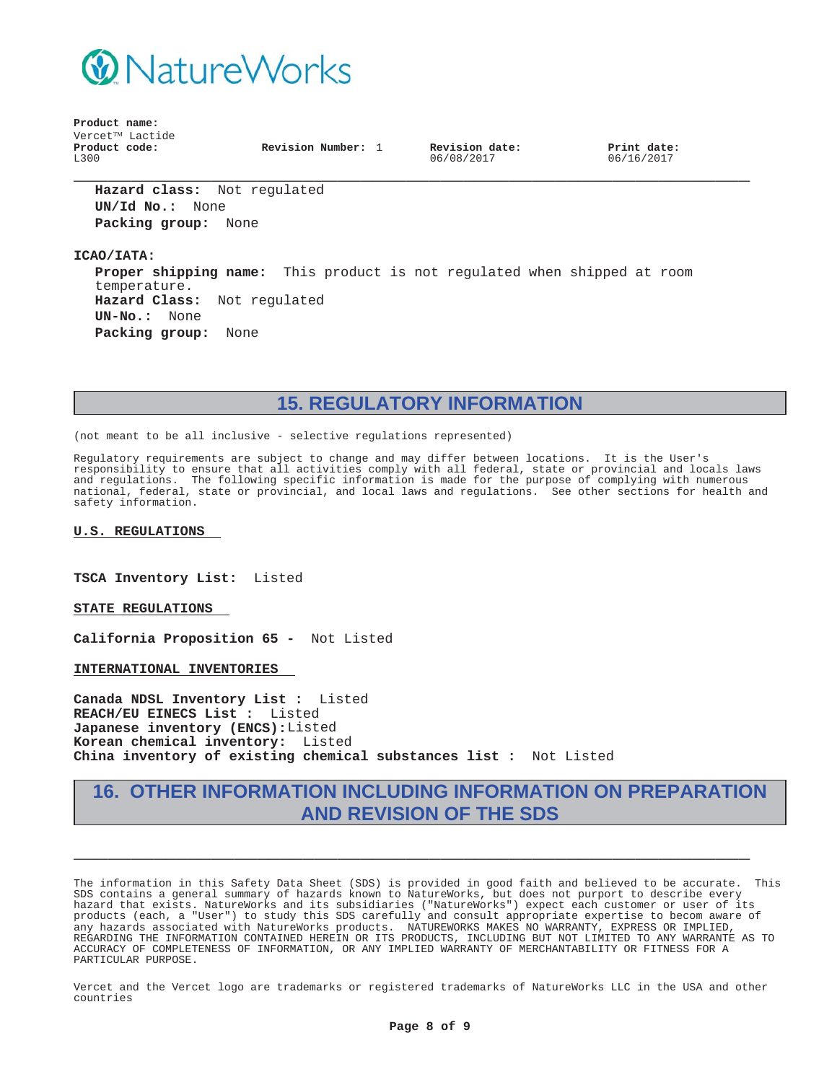

**Product name:**  $Vercet^{TM}$  Lactide **Product code:** L300

**Revision Number:** 1 **Revision date:**

06/08/2017

**Print date:** 06/16/2017

**Hazard class:** Not regulated **UN/Id No.:** None **Packing group:** None

**ICAO/IATA:**

**Proper shipping name:** This product is not regulated when shipped at room temperature. **Hazard Class:** Not regulated **UN-No.:** None **Packing group:** None

**\_\_\_\_\_\_\_\_\_\_\_\_\_\_\_\_\_\_\_\_\_\_\_\_\_\_\_\_\_\_\_\_\_\_\_\_\_\_\_\_\_\_\_\_\_\_\_\_\_\_\_\_\_\_\_\_\_\_\_**

**15. REGULATORY INFORMATION**

(not meant to be all inclusive - selective regulations represented)

Regulatory requirements are subject to change and may differ between locations. It is the User's responsibility to ensure that all activities comply with all federal, state or provincial and locals laws and regulations. The following specific information is made for the purpose of complying with numerous national, federal, state or provincial, and local laws and regulations. See other sections for health and safety information.

#### **U.S. REGULATIONS**

**TSCA Inventory List:** Listed

**STATE REGULATIONS**

**California Proposition 65 -** Not Listed

**INTERNATIONAL INVENTORIES**

**Canada NDSL Inventory List :** Listed **REACH/EU EINECS List :** Listed **Japanese inventory (ENCS):**Listed **Korean chemical inventory:** Listed **China inventory of existing chemical substances list :** Not Listed

# **16. OTHER INFORMATION INCLUDING INFORMATION ON PREPARATION AND REVISION OF THE SDS**

**\_\_\_\_\_\_\_\_\_\_\_\_\_\_\_\_\_\_\_\_\_\_\_\_\_\_\_\_\_\_\_\_\_\_\_\_\_\_\_\_\_\_\_\_\_\_\_\_\_\_\_\_\_\_\_\_\_\_\_**

The information in this Safety Data Sheet (SDS) is provided in good faith and believed to be accurate. This SDS contains a general summary of hazards known to NatureWorks, but does not purport to describe every hazard that exists. NatureWorks and its subsidiaries ("NatureWorks") expect each customer or user of its products (each, a "User") to study this SDS carefully and consult appropriate expertise to becom aware of any hazards associated with NatureWorks products. NATUREWORKS MAKES NO WARRANTY, EXPRESS OR IMPLIED, REGARDING THE INFORMATION CONTAINED HEREIN OR ITS PRODUCTS, INCLUDING BUT NOT LIMITED TO ANY WARRANTE AS TO ACCURACY OF COMPLETENESS OF INFORMATION, OR ANY IMPLIED WARRANTY OF MERCHANTABILITY OR FITNESS FOR A PARTICULAR PURPOSE.